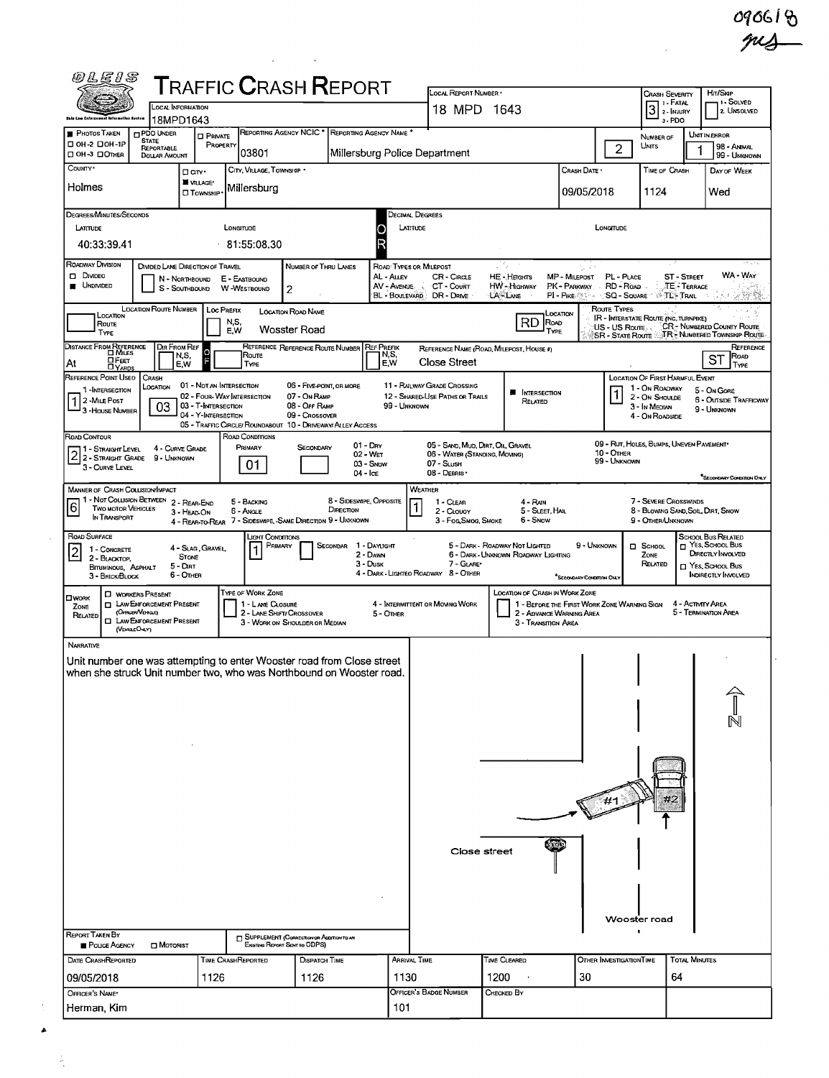090618

 $\hat{\mathcal{L}}$ 

|                                                                                                                                                                                                                               | <b>LOCAL INFORMATION</b>                              |                                                        |                                                             |                                          | <b>TRAFFIC CRASH REPORT</b>                   |                                      | LOCAL REPORT NUMBER .                                          |                                          |                                                                         |                            | Crash Severity<br>$\boxed{3}$ $\frac{1}{2}$ - Fatal         |                      | Hrt/Skip<br>1 - Solved                         |
|-------------------------------------------------------------------------------------------------------------------------------------------------------------------------------------------------------------------------------|-------------------------------------------------------|--------------------------------------------------------|-------------------------------------------------------------|------------------------------------------|-----------------------------------------------|--------------------------------------|----------------------------------------------------------------|------------------------------------------|-------------------------------------------------------------------------|----------------------------|-------------------------------------------------------------|----------------------|------------------------------------------------|
| <b>Oble Law Enforcement Information System</b>                                                                                                                                                                                | 18MPD1643                                             |                                                        |                                                             |                                          |                                               |                                      | 18 MPD 1643                                                    |                                          |                                                                         |                            | 3-PDO                                                       |                      | 2 UNSOLVED                                     |
| <b>PHOTOS TAKEN</b>                                                                                                                                                                                                           | <b>PDO UNDER</b><br><b>STATE</b>                      | <b>D</b> PRIVATE                                       |                                                             |                                          | REPORTING AGENCY NCIC * REPORTING AGENCY NAME |                                      |                                                                |                                          |                                                                         |                            | NUMBER OF                                                   |                      | UNIT IN ERROR                                  |
| □ 0Н-2 □ 0Н-1Р<br>□ OH-3 □ ОТНЕR                                                                                                                                                                                              | REPORTABLE<br><b>DOLLAR AMOUNT</b>                    | PROPERTY                                               | 03801                                                       |                                          | Millersburg Police Department                 |                                      |                                                                |                                          |                                                                         | $\overline{2}$             | UNITS                                                       |                      | 98 - ANMAL<br>99 - UNKNOWN                     |
| COUNTY <sup>*</sup>                                                                                                                                                                                                           |                                                       | Darr.                                                  | CITY, VILLAGE, TOWNSHIP .                                   |                                          |                                               |                                      |                                                                |                                          | CRASH DATE .                                                            |                            | TIME OF CRASH                                               |                      | DAY OF WEEK                                    |
| Holmes                                                                                                                                                                                                                        |                                                       | <b>WILLAGE*</b><br><b>CI</b> TOWNSHIP                  | Millersburg                                                 |                                          |                                               |                                      |                                                                |                                          | 09/05/2018                                                              |                            | 1124                                                        |                      | Wed                                            |
|                                                                                                                                                                                                                               |                                                       |                                                        |                                                             |                                          |                                               |                                      |                                                                |                                          |                                                                         |                            |                                                             |                      |                                                |
| DEGREES/MINUTES/SECONDS                                                                                                                                                                                                       |                                                       |                                                        |                                                             |                                          |                                               | Decimal Degrees                      |                                                                |                                          |                                                                         |                            |                                                             |                      |                                                |
| LATITUDE                                                                                                                                                                                                                      |                                                       |                                                        | LONGITUDE                                                   |                                          | O                                             | LATITUDE<br>D                        |                                                                |                                          |                                                                         | LONGITUDE                  |                                                             |                      |                                                |
| 40:33:39.41                                                                                                                                                                                                                   |                                                       |                                                        | 81:55:08.30                                                 |                                          |                                               |                                      |                                                                |                                          |                                                                         |                            |                                                             |                      |                                                |
| ROADWAY DIVISION<br>$\Box$ Divideo                                                                                                                                                                                            |                                                       | DIVIDED LANE DIRECTION OF TRAVEL<br>N - Northbound     | E - EASTBOUND                                               | NUMBER OF THRU LANES                     |                                               | ROAD TYPES OR MILEPOST<br>AL - ALLEY | CR-CIRGLE                                                      | 14,<br>HE - HEIGHTS                      | なす<br>MP - MILEPOST                                                     | PL - PLACE                 |                                                             | <b>ST - STREET</b>   | WA - Way                                       |
| <b>UNDIVIDED</b>                                                                                                                                                                                                              |                                                       | S - SOUTHBOUND                                         | <b>W-WESTBOUND</b>                                          | 2                                        |                                               | AV - AVENUE                          | CT - Court<br>BL - BOULEVARD DR - DRIVE                        | <b>HW</b> - Highway<br>LA-LANE           | PK - PARKWAY RD - ROAD<br>PI - PIKE @ The SQ - SQUARE 198 TL - TRAIL    |                            |                                                             | <b>TE - TERRACE</b>  |                                                |
|                                                                                                                                                                                                                               | <b>LOCATION ROUTE NUMBER</b>                          | LOC PREFIX                                             |                                                             | LOCATION ROAD NAME                       |                                               |                                      |                                                                |                                          |                                                                         | Route Types                |                                                             |                      |                                                |
| LOCATION<br>Route                                                                                                                                                                                                             |                                                       |                                                        | N,S,                                                        | Wosster Road                             |                                               |                                      |                                                                | RD<br>ROAD                               | LOCATION                                                                | US - US Route              | <b>IR - INTERSTATE ROUTE (INC. TURNPIKE)</b>                |                      | CR-NUMBERED COUNTY ROUTE                       |
| TYPE                                                                                                                                                                                                                          |                                                       |                                                        | E,W                                                         |                                          | REFERENCE REFERENCE ROUTE NUMBER REF PREFIX   |                                      |                                                                | TYPE                                     |                                                                         |                            |                                                             |                      | SR - STATE ROUTE AT R. NUMBERED TOWNSHIP ROUTE |
| DISTANCE FROM REFERENCE<br>At                                                                                                                                                                                                 | DIR FROM REF                                          | lo<br>N,S,<br>ŋ                                        | Route                                                       |                                          |                                               | N, S,<br>E,W                         | <b>Close Street</b>                                            | REFERENCE NAME (ROAD, MILEPOST, HOUSE 4) |                                                                         |                            |                                                             |                      | REFERENCE<br>ST <sup>Pow</sup>                 |
| <b>DEET</b><br>REFERENCE POINT USEO   CRASH                                                                                                                                                                                   |                                                       | E,W                                                    | TYPE                                                        |                                          |                                               |                                      |                                                                |                                          |                                                                         |                            | LOCATION OF FIRST HARMFUL EVENT                             |                      | TYPE                                           |
| 1-INTERSECTION                                                                                                                                                                                                                | LOCATION                                              | 01 - Not an Intersection<br>02 - FOUR-WAY INTERSECTION |                                                             | 06 - FIVE-POINT, OR MORE<br>07 - On Ramp |                                               |                                      | 11 - RAILWAY GRADE CROSSING<br>12 - SHARED-USE PATHS OR TRAILS | <b>NTERSECTION</b>                       |                                                                         |                            | 1 - On ROADWAY<br>2 - On Shoulde                            |                      | 5 - On Gore                                    |
| $ 1 $ 2 - Mile Post<br>3 - House Numser                                                                                                                                                                                       | 03                                                    | 03 - T-INTERSECTION                                    |                                                             | 08 - OFF RAMP                            |                                               | 99 - UNKNOWN                         |                                                                | RELATED                                  |                                                                         |                            | 3 - In MEDIAN                                               |                      | <b>6 - OUTSIDE TRAFFICWAY</b><br>9 - UNKNOWN   |
|                                                                                                                                                                                                                               |                                                       | 04 - Y-INTERSECTION                                    | 05 - TRAFFIC CIRCLE/ ROUNDABOUT 10 - DRIVEWAY/ ALLEY ACCESS | 09 - Crossover                           |                                               |                                      |                                                                |                                          |                                                                         |                            | 4 - ON ROADSIDE                                             |                      |                                                |
| ROAD CONTOUR                                                                                                                                                                                                                  | 4 - CURVE GRADE                                       |                                                        | ROAD CONDITIONS<br>PRIMARY                                  | SECONDARY                                | 01 - Day                                      |                                      | 05 - SAND, MUD, DIRT, OIL, GRAVEL                              |                                          |                                                                         |                            | 09 - RUT, HOLES, BUMPS, UNEVEN PAVEMENT*                    |                      |                                                |
| 11 - Straight Level<br>2 1 - STRAIGHT LEVEL 4 - CURVE GR<br>2 2 - STRAIGHT GRADE 9 - UNKNOWN                                                                                                                                  |                                                       |                                                        | 01                                                          |                                          | 02 - Wer<br>03 - Snow                         |                                      | 06 - WATER (STANDING, MOVING)<br>07 - SLush                    |                                          |                                                                         | 10 - OTHER<br>99 - UNKNOWN |                                                             |                      |                                                |
| 3 - CURVE LEVEL                                                                                                                                                                                                               |                                                       |                                                        |                                                             |                                          | $04  c$                                       |                                      | 08 - DEBRIS ·                                                  |                                          |                                                                         |                            |                                                             |                      | SECONDARY CONDITION ONLY                       |
| MANNER OF CRASH COLLISION/IMPACT                                                                                                                                                                                              |                                                       |                                                        |                                                             |                                          |                                               |                                      | WEATHER                                                        |                                          |                                                                         |                            |                                                             |                      |                                                |
| 1 - Not Collision Between 2 - REAR-END<br>16<br><b>TWO MOTOR VEHICLES</b>                                                                                                                                                     |                                                       | 3 - HEAD ON                                            | 5 - BACKING<br>6 - Angle                                    |                                          | 8 - SIDESWIPE, OPPOSITE<br>DIRECTION          | 1                                    | 1 - CLEAR<br>2 - CLOUDY                                        | 4 - RAIN<br>5 - SLEET, HAL               |                                                                         |                            | 7 - SEVERE CROSSWINDS<br>8 - Blowing SAND, Soll, DIRT, SNOW |                      |                                                |
| IN TRANSPORT                                                                                                                                                                                                                  |                                                       |                                                        | 4 - REAR-TO-REAR 7 - SIDESWIPE, -SAME DIRECTION 9 - UNXNOWN |                                          |                                               |                                      | 3 - Fog Smog, Smoke                                            | 6 - Snow                                 |                                                                         |                            | 9 - OTHER/UNKNOWN                                           |                      |                                                |
| ROAD SURFACE<br>1 - CONCRETE                                                                                                                                                                                                  |                                                       | 4 - SLAG, GRAVEL                                       | <b>LIGHT CONDITIONS</b><br>Primary                          |                                          | SECONDAR<br>1 - Daylight                      |                                      |                                                                | 5 - DARK - ROADWAY NOT LIGHTED           | 9 - Unknown                                                             |                            | $\Box$ SCHOOL                                               |                      | SCHOOL BUS RELATED<br>T YES, SCHOOL BUS        |
| 2 - BLACKTOP,                                                                                                                                                                                                                 |                                                       | <b>STONE</b>                                           |                                                             |                                          | 2 - DAWN                                      |                                      |                                                                | 6 - DARK - UNKNOWN ROADWAY LIGHTING      |                                                                         |                            | ZONE                                                        |                      | DIRECTLY INVOLVED<br>T YES, SCHOOL Bus         |
|                                                                                                                                                                                                                               |                                                       |                                                        |                                                             |                                          | $3 - D$ usk                                   |                                      | 7 - GLARE*                                                     |                                          |                                                                         |                            | RELATED                                                     |                      |                                                |
| BITUMINOUS, ASPHALT<br>3 - BRICK/BLOCK                                                                                                                                                                                        |                                                       | 5 - Dirt<br>6 - OTHER                                  |                                                             |                                          |                                               |                                      | 4 - DARK - LIGHTEO ROADWAY 8 - OTHER                           |                                          | "SECONDARY CONDITION ONLY                                               |                            |                                                             |                      |                                                |
|                                                                                                                                                                                                                               | <b>D</b> WORKERS PRESENT                              |                                                        | TYPE OF WORK ZONE                                           |                                          |                                               |                                      |                                                                | LOCATION OF CRASH IN WORK ZONE           |                                                                         |                            |                                                             |                      |                                                |
| ZONE<br>RELATED                                                                                                                                                                                                               | <b>D</b> LAW ENFORCEMENT PRESENT<br>(OFFICER/VEHICLE) |                                                        | 1 - LANE CLOSURE<br>2 - LANE SHIFT/ CROSSOVER               |                                          |                                               | 5 - OTHER                            | 4 - INTERMITTENT OR MOVING WORK                                |                                          | 1 - BEFORE THE FIRST WORK ZONE WARMING SIGN<br>2 - ADVANCE WARNING AREA |                            |                                                             |                      | 4 - ACTIVITY AREA<br>5 TERMINATION AREA        |
|                                                                                                                                                                                                                               | <b>Q LAW ENFORCEMENT PRESENT</b><br>(VEHICLEONLY)     |                                                        |                                                             | 3 - WORK ON SHOULDER OR MEDIAN           |                                               |                                      |                                                                | 3 - Transition Area                      |                                                                         |                            |                                                             |                      |                                                |
|                                                                                                                                                                                                                               |                                                       |                                                        |                                                             |                                          |                                               |                                      |                                                                |                                          |                                                                         |                            |                                                             |                      |                                                |
|                                                                                                                                                                                                                               |                                                       |                                                        |                                                             |                                          |                                               |                                      |                                                                |                                          |                                                                         |                            |                                                             |                      |                                                |
|                                                                                                                                                                                                                               |                                                       |                                                        |                                                             |                                          |                                               |                                      |                                                                |                                          |                                                                         |                            |                                                             |                      |                                                |
|                                                                                                                                                                                                                               |                                                       |                                                        |                                                             |                                          |                                               |                                      |                                                                |                                          |                                                                         |                            |                                                             |                      |                                                |
|                                                                                                                                                                                                                               |                                                       |                                                        |                                                             |                                          |                                               |                                      |                                                                |                                          |                                                                         |                            |                                                             |                      |                                                |
|                                                                                                                                                                                                                               |                                                       |                                                        |                                                             |                                          |                                               |                                      |                                                                |                                          |                                                                         |                            |                                                             |                      |                                                |
|                                                                                                                                                                                                                               |                                                       |                                                        |                                                             |                                          |                                               |                                      |                                                                |                                          |                                                                         |                            |                                                             |                      |                                                |
|                                                                                                                                                                                                                               |                                                       |                                                        |                                                             |                                          |                                               |                                      |                                                                |                                          |                                                                         |                            |                                                             |                      |                                                |
|                                                                                                                                                                                                                               |                                                       |                                                        |                                                             |                                          |                                               |                                      |                                                                |                                          |                                                                         |                            |                                                             |                      |                                                |
|                                                                                                                                                                                                                               |                                                       |                                                        |                                                             |                                          |                                               |                                      |                                                                |                                          |                                                                         |                            |                                                             |                      |                                                |
|                                                                                                                                                                                                                               |                                                       |                                                        |                                                             |                                          |                                               |                                      |                                                                |                                          |                                                                         |                            |                                                             |                      |                                                |
|                                                                                                                                                                                                                               |                                                       |                                                        |                                                             |                                          |                                               |                                      |                                                                |                                          |                                                                         |                            |                                                             |                      |                                                |
|                                                                                                                                                                                                                               |                                                       |                                                        |                                                             |                                          |                                               |                                      | Close street                                                   |                                          |                                                                         |                            |                                                             |                      |                                                |
|                                                                                                                                                                                                                               |                                                       |                                                        |                                                             |                                          |                                               |                                      |                                                                |                                          |                                                                         |                            |                                                             |                      |                                                |
|                                                                                                                                                                                                                               |                                                       |                                                        |                                                             |                                          |                                               |                                      |                                                                |                                          |                                                                         |                            |                                                             |                      |                                                |
|                                                                                                                                                                                                                               |                                                       |                                                        |                                                             |                                          |                                               |                                      |                                                                |                                          |                                                                         |                            |                                                             |                      |                                                |
|                                                                                                                                                                                                                               |                                                       |                                                        |                                                             |                                          |                                               |                                      |                                                                |                                          |                                                                         |                            | Wooster road                                                |                      |                                                |
|                                                                                                                                                                                                                               |                                                       |                                                        |                                                             |                                          |                                               |                                      |                                                                |                                          |                                                                         | $\blacksquare$             |                                                             |                      |                                                |
| POLICE AGENCY                                                                                                                                                                                                                 | <b>D</b> MOTORIST                                     |                                                        | SUPPLEMENT (CORRECTION OR ACOLTICIAN                        | Existing Report Sent to ODPS)            |                                               |                                      |                                                                |                                          |                                                                         |                            |                                                             |                      |                                                |
| $\square$ WORK<br>NARRATIVE<br>Unit number one was attempting to enter Wooster road from Close street<br>when she struck Unit number two, who was Northbound on Wooster road.<br><b>REPORT TAKEN BY</b><br>DATE CRASHREPORTED |                                                       |                                                        | TIME CRASHREPORTED                                          | DISPATCH TIME                            |                                               | ARRIVAL TIME                         |                                                                | TIME CLEARED                             |                                                                         | OTHER INVESTIGATION TIME   |                                                             | <b>TOTAL MINUTES</b> | INDIRECTLY INVOLVED                            |
| 09/05/2018<br>OFFICER'S NAME*                                                                                                                                                                                                 |                                                       | 1126                                                   |                                                             | 1126                                     |                                               | 1130                                 | OFFICER'S BADGE NUMBER                                         | 1200<br>CHECKED BY                       | 30                                                                      |                            | 64                                                          |                      |                                                |

 $\mathcal{L}^{\text{max}}$ 

 $\bar{\mathcal{A}}$ 

 $\blacktriangle$ 

 $\frac{1}{\beta}$ 

 $\mathbb{C}$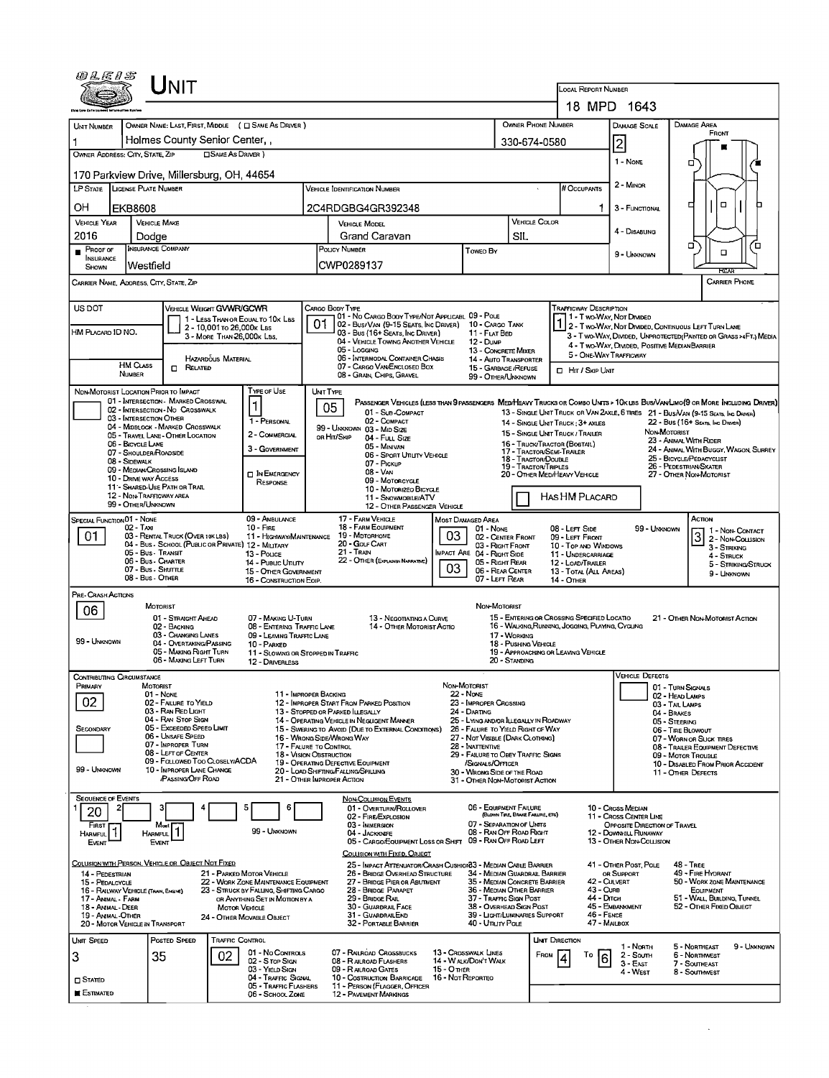| 0 L E 1 S                                               |                                                      | <b>NIT</b>                                                           |                                                                                |                 |                                                                                                                                              |                                                             |                                                                                 |                                      |                                                  | LOCAL REPORT NUMBER                                              |                                                       |                                                                                                                              |
|---------------------------------------------------------|------------------------------------------------------|----------------------------------------------------------------------|--------------------------------------------------------------------------------|-----------------|----------------------------------------------------------------------------------------------------------------------------------------------|-------------------------------------------------------------|---------------------------------------------------------------------------------|--------------------------------------|--------------------------------------------------|------------------------------------------------------------------|-------------------------------------------------------|------------------------------------------------------------------------------------------------------------------------------|
|                                                         |                                                      |                                                                      |                                                                                |                 |                                                                                                                                              |                                                             |                                                                                 |                                      |                                                  |                                                                  | 18 MPD 1643                                           |                                                                                                                              |
| UNIT NUMBER                                             |                                                      | OWNER NAME: LAST, FIRST, MIDDLE ( C SAME AS DRIVER )                 |                                                                                |                 |                                                                                                                                              |                                                             |                                                                                 |                                      | OWNER PHONE NUMBER                               |                                                                  | DAMAGE SCALE                                          | DAMAGE AREA<br>FRONT                                                                                                         |
|                                                         |                                                      | Holmes County Senior Center,,                                        |                                                                                |                 |                                                                                                                                              |                                                             |                                                                                 |                                      | 330-674-0580                                     |                                                                  | 2                                                     |                                                                                                                              |
| OWNER ADDRESS: CITY, STATE, ZIP                         |                                                      | <b>OSAME AS DRIVER</b> )                                             |                                                                                |                 |                                                                                                                                              |                                                             |                                                                                 |                                      |                                                  |                                                                  | 1 NONE                                                | о                                                                                                                            |
| LP STATE                                                | <b>LICENSE PLATE NUMBER</b>                          | 170 Parkview Drive, Millersburg, OH, 44654                           |                                                                                |                 | Vehicle Identification Number                                                                                                                |                                                             |                                                                                 |                                      |                                                  | # Occupants                                                      | 2 - MINOR                                             |                                                                                                                              |
|                                                         |                                                      |                                                                      |                                                                                |                 |                                                                                                                                              |                                                             |                                                                                 |                                      |                                                  |                                                                  |                                                       | $\Box$<br>□                                                                                                                  |
| OН<br><b>VEHICLE YEAR</b>                               | <b>EKB8608</b><br><b>VEHICLE MAKE</b>                |                                                                      |                                                                                |                 | 2C4RDGBG4GR392348<br><b>VEHICLE MODEL</b>                                                                                                    |                                                             |                                                                                 |                                      | <b>VEHICLE COLOR</b>                             |                                                                  | 3 - FUNCTIONAL                                        |                                                                                                                              |
| 2016                                                    | Dodae                                                |                                                                      |                                                                                |                 | Grand Caravan                                                                                                                                |                                                             |                                                                                 | SIL                                  |                                                  |                                                                  | 4 - DISABUNG                                          |                                                                                                                              |
| $P_{\text{ROOF OF}}$<br>INSURANCE<br>SHOWN              | <b>INSURANCE COMPANY</b><br>Westfield                |                                                                      |                                                                                |                 | POLICY NUMBER<br>CWP0289137                                                                                                                  |                                                             | Towed By                                                                        |                                      |                                                  |                                                                  | 9 - UNKNOWN                                           | o<br>'n<br>$\Box$                                                                                                            |
| CARRIER NAME, ADDRESS, CITY, STATE, ZIP                 |                                                      |                                                                      |                                                                                |                 |                                                                                                                                              |                                                             |                                                                                 |                                      |                                                  |                                                                  |                                                       | <b>EGEAR</b><br>CARRIER PHONE                                                                                                |
| US DOT                                                  |                                                      | VEHICLE WEIGHT GVWR/GCWR                                             |                                                                                |                 | CARGO BODY TYPE                                                                                                                              |                                                             |                                                                                 |                                      |                                                  | <b>TRAFFICWAY DESCRIPTION</b>                                    |                                                       |                                                                                                                              |
| HM PLACARD ID NO.                                       |                                                      | 1 - LESS THAN OR EQUAL TO 10K LBS<br>2 - 10,001 To 26,000x Las       |                                                                                | 01              | 01 - No CARGO BODY TYPE/NOT APPLICABL 09 - POLE<br>02 - Bus/VAN (9-15 SEATS, INC DRIVER) 10 - CARGO TANK<br>03 - Bus (16+ Seats, Inc Driver) |                                                             | 11 - FLAT BED                                                                   |                                      |                                                  |                                                                  | 1 - Two-Way, Not Divideo                              | 2 - Two WAY, NOT DIVIDED, CONTINUOUS LEFT TURN LANE                                                                          |
|                                                         |                                                      | 3 - MORE THAN 26,000K LBS.                                           |                                                                                |                 | 04 - VEHICLE TOWING ANOTHER VEHICLE<br>05 - Locang                                                                                           |                                                             | 12 - DuмP<br>13 - CONCRETE MIXER                                                |                                      |                                                  |                                                                  | 4 - Two-Way, Divided, Positive Median Barrier         | 3 - T WO-WAY, DIVIDED, UNPROTECTED (PAINTED OR GRASS >4FT.) MEDIA                                                            |
|                                                         | HM CLASS                                             | Hazardous Material<br>Related<br>п.                                  |                                                                                |                 | 06 - INTERMODAL CONTAINER CHASIS<br>07 - CARGO VAN ENCLOSED BOX                                                                              |                                                             | 14 - Auto Transporter<br>15 - GARBAGE / REFUSE                                  |                                      |                                                  | 5 - ONE-WAY TRAFFICWAY<br><b>I</b> HIT / SKIP UNIT               |                                                       |                                                                                                                              |
|                                                         | NUMBER                                               |                                                                      |                                                                                |                 | 08 - GRAIN, CHIPS, GRAVEL                                                                                                                    |                                                             | 99 - OTHER/UNKNOWN                                                              |                                      |                                                  |                                                                  |                                                       |                                                                                                                              |
| NON-MOTORIST LOCATION PRIOR TO IMPACT                   |                                                      | 01 - INTERSECTION - MARKED CROSSWAL                                  | TYPE OF USE<br>$\mathbf 1$                                                     | <b>UNT TYPE</b> | 05                                                                                                                                           |                                                             |                                                                                 |                                      |                                                  |                                                                  |                                                       | PASSENGER VEHICLES (LESS THAN 9 PASSENGERS MEDIHEAVY TRUCKS OR COMBO UNTS > 10K LBS BUS/VAN/LIMO(9 OR MORE INCLUDING DRIVER) |
|                                                         | 03 - INTERSECTION OTHER                              | 02 - INTERSECTION - NO CROSSWALK<br>04 - MIDBLOCK - MARKED CROSSWALK | 1 - PERSONAL                                                                   |                 | 01 - Sub-COMPACT<br>02 - COMPACT                                                                                                             |                                                             |                                                                                 |                                      |                                                  | 14 - SINGLE UNIT TRUCK: 3+ AXLES                                 |                                                       | 13 - SINGLE UNIT TRUCK OR VAN 2AXLE, 6 TRES 21 - BUS/VAN (9-15 SEATS, INC DRIVER)<br>22 - Bus (16+ Seats, Inc Driver)        |
|                                                         | 06 - BICYCLE LANE                                    | 05 - TRAVEL LANE - OTHER LOCATION                                    | 2 - COMMERCIAL                                                                 |                 | 99 - UNKNOWN 03 - MID SIZE<br>OR HIT/SKIP<br>04 - FULL SIZE<br>05 - Minivan                                                                  |                                                             |                                                                                 |                                      |                                                  | 15 - SINGLE UNIT TRUCK / TRAILER<br>16 - TRUCK/TRACTOR (BOSTAIL) |                                                       | NON-MOTORIST<br>23 - Animal With Rider                                                                                       |
|                                                         | 07 - SHOULDER/ROADSIDE<br>08 - SIDEWALK              |                                                                      | 3 - GOVERNMENT                                                                 |                 | 06 - Sport Utility Vehicle<br>07 - PICKUP                                                                                                    |                                                             |                                                                                 |                                      | 17 - TRACTOR/SEMI-TRAILER<br>18 - Tractor/Double |                                                                  |                                                       | 24 - ANIMAL WITH BUGGY, WAGON, SURREY<br>25 - BICYCLE/PEDACYCLIST                                                            |
|                                                         | 09 - MEOIAN/CROSSING ISLAND<br>10 - DRIVE WAY ACCESS |                                                                      | <b>DIN EMERGENCY</b><br>RESPONSE                                               |                 | 08 - VAN<br>09 - MOTORCYCLE                                                                                                                  |                                                             |                                                                                 |                                      | <b>19 - TRACTOR/TRIPLES</b>                      | 20 - OTHER MEDIHEAVY VEHICLE                                     |                                                       | 26 - PEDESTRIAN/SKATER<br>27 - OTHER NON-MOTORIST                                                                            |
|                                                         | 12 - NON-TRAFFICWAY AREA<br>99 - OTHER/UNKNOWN       | 11 - SHARED-USE PATH OR TRAIL                                        |                                                                                |                 | 10 - Motorizeo Bicycle<br>11 - SNOWMOBILE/ATV                                                                                                |                                                             |                                                                                 |                                      |                                                  | HAS HM PLACARD                                                   |                                                       |                                                                                                                              |
| SPECIAL FUNCTION 01 - NONE                              |                                                      |                                                                      | 09 - AMBULANCE                                                                 |                 | 12 - OTHER PASSENGER VEHICLE<br>17 - FARM VEHICLE                                                                                            | <b>MOST DAMAGED AREA</b>                                    |                                                                                 |                                      |                                                  |                                                                  |                                                       | Астюм                                                                                                                        |
| 01                                                      | 02 - Taxi                                            | 03 - RENTAL TRUCK (OVER 10KLBS)                                      | $10 -$ Fine<br>11 - HIGHWAY/MAINTENANCE                                        |                 | 18 - FARM EOUIPMENT<br>19 - MDTORHOME                                                                                                        | 03                                                          | $01 - None$<br>02 - CENTER FRONT                                                |                                      |                                                  | 08 - LEFT SIDE<br>09 - LEFT FRONT                                | 99 - Unknown                                          | 1 1 - Non- Contact<br>$3$ 2 - Non-Coursion                                                                                   |
|                                                         | 05 - Bus - Transit<br>06 - Bus - Charter             | 04 - Bus - School (Public or Private) 12 - MILITARY                  | 13 - Pouce<br>14 - Pueuc Unury                                                 |                 | 20 - GOLF CART<br>21 - TRAN<br>22 - OTHER (EXPLASHIN NARRATIVE)                                                                              |                                                             | 03 - RIGHT FRONT<br><b>IMPACT ARE 04 - RIGHT SIDE</b><br>05 - Right REAR        |                                      |                                                  | 10 - Top and Windows<br>11 - UNDERCARRIAGE                       |                                                       | 3 - STRIKING<br>4 - STRUCK                                                                                                   |
|                                                         | 07 - Bus - SHUTTLE<br>08 - Bus - OTHER               |                                                                      | 15 - OTHER GOVERNMENT<br>16 - CONSTRUCTION EOIP.                               |                 |                                                                                                                                              | 03                                                          | 06 - REAR CENTER<br>07 - LEFT REAR                                              |                                      |                                                  | 12 - LOAD/TRAILER<br>13 - TOTAL (ALL AREAS)<br><b>14 - OTHER</b> |                                                       | 5 - STRIKING/STRUCK<br>9 - UNKNOWN                                                                                           |
| PRE- CRASH ACTIONS                                      | <b>MOTORIST</b>                                      |                                                                      |                                                                                |                 |                                                                                                                                              |                                                             | NON-MOTORIST                                                                    |                                      |                                                  |                                                                  |                                                       |                                                                                                                              |
| 06                                                      |                                                      | 01 - STRAIGHT AHEAD                                                  | 07 - MAKING U-TURN                                                             |                 | 13 - Negotiating a Curve                                                                                                                     |                                                             |                                                                                 |                                      |                                                  | 15 - ENTERING OR CROSSING SPECIFIED LOCATIO                      |                                                       | 21 - OTHER NON-MOTORIST ACTION                                                                                               |
| 99 - UNKNOWN                                            |                                                      | 02 - BACKING<br>03 - CHANGING LANES<br>04 - OVERTAKING/PASSING       | 08 - ENTERING TRAFFIC LANE<br>09 - LEAVING TRAFFIC LANE<br>10 - PARKED         |                 | 14 - OTHER MOTORIST ACTIO                                                                                                                    |                                                             |                                                                                 | 17 - WORKING<br>18 - Pushing Vehicle |                                                  | 16 - WALKING, RUNNING, JOGGING, PLAYING, CYCLING                 |                                                       |                                                                                                                              |
|                                                         |                                                      | 05 - MAKING RIGHT TURN<br>06 - MAKING LEFT TURN                      | 11 - SLOWING OR STOPPED IN TRAFFIC<br>12 - DRIVERLESS                          |                 |                                                                                                                                              |                                                             |                                                                                 | 20 - Standing                        |                                                  | 19 - APPROACHING OR LEAVING VEHICLE                              |                                                       |                                                                                                                              |
| CONTRIBUTING CIRCUMSTANCE                               |                                                      |                                                                      |                                                                                |                 |                                                                                                                                              |                                                             |                                                                                 |                                      |                                                  |                                                                  | <b>VEHICLE DEFECTS</b>                                |                                                                                                                              |
| Primary<br>02                                           | MOTORIST<br>01 - None                                |                                                                      | 11 - IMPROPER BACKING                                                          |                 |                                                                                                                                              | Non-Motorist<br>22 - Nove                                   |                                                                                 |                                      |                                                  |                                                                  |                                                       | 01 - TURN SIGNALS<br>02 - HEAD LAMPS                                                                                         |
|                                                         |                                                      | 02 - FAILURE TO YIELD<br>03 - RAN RED LIGHT<br>04 - RAN STOP SIGN    |                                                                                |                 | 12 - IMPROPER START FROM PARKED POSITION<br>13 - STOPPED OR PARKED LLEGALLY<br>14 - OPERATING VEHICLE IN NEGLIGENT MANNER                    |                                                             | 23 - IMPROPER CROSSING<br>24 - DARTING<br>25 - LYING AND/OR LLEGALLY IN ROADWAY |                                      |                                                  |                                                                  |                                                       | 03 - TAIL LAMPS<br>04 - BRAKES                                                                                               |
| SECONDARY                                               |                                                      | 05 - Exceeded Speed Limit<br>06 - UNSAFE SPEED                       |                                                                                |                 | 15 - SWERING TO AVOID (DUE TO EXTERNAL CONDITIONS)<br>16 - WRONG SIDE/WRONG WAY                                                              |                                                             | 26 - FALURE TO YIELD RIGHT OF WAY<br>27 - NOT VISIBLE (DARK CLOTHING)           |                                      |                                                  |                                                                  |                                                       | 05 - STEERING<br>06 - TIRE BLOWOUT<br>07 - WORN OR SUCK TIRES                                                                |
|                                                         |                                                      | 07 - IMPROPER TURN<br>08 - LEFT OF CENTER                            | 17 - FALURE TO CONTROL<br>18 - VISION OBSTRUCTION                              |                 |                                                                                                                                              |                                                             | 28 - INATTENTIVE<br>29 - FAILURE TO OBEY TRAFFIC SIGNS                          |                                      |                                                  |                                                                  |                                                       | 08 - TRAILER EQUIPMENT DEFECTIVE<br>09 - MOTOR TROUBLE                                                                       |
| 99 - Unknown                                            |                                                      | 09 - FOLLOWED TOO CLOSELY/ACDA<br>10 - IMPROPER LANE CHANGE          |                                                                                |                 | 19 - OPERATING DEFECTIVE EQUIPMENT<br>20 - LOAD SHIFTING/FALLING/SPILLING                                                                    |                                                             | /SIGNALS/OFFICER<br>30 - WRONG SIDE OF THE ROAD                                 |                                      |                                                  |                                                                  |                                                       | 10 - DISABLED FROM PRIOR ACCIDENT<br>11 - OTHER DEFECTS                                                                      |
| <b>SEQUENCE OF EVENTS</b>                               |                                                      | <b>PASSING OFF ROAD</b>                                              |                                                                                |                 | 21 - OTHER IMPROPER ACTION<br><b>NON-COLLISION EVENTS</b>                                                                                    |                                                             | 31 - OTHER NON-MOTORIST ACTION                                                  |                                      |                                                  |                                                                  |                                                       |                                                                                                                              |
| 20                                                      |                                                      |                                                                      | 5<br>6                                                                         |                 | 01 - OVERTURN/ROLLOVER<br>02 - FIRE/EXPLOSION                                                                                                |                                                             | 06 - EQUIPMENT FAILURE                                                          | (BLOWN TIRE, BRAKE FAILURE, ETC)     |                                                  |                                                                  | 10 - Cross Median<br>11 - Cross Center Line           |                                                                                                                              |
| FIRST<br>1<br><b>HARMFUL</b>                            | Most<br><b>HARMFUL</b>                               |                                                                      | 99 - UNKNOWN                                                                   |                 | 03 - IMMERSION<br>04 - JACKKNIFE                                                                                                             |                                                             | 07 - SEPARATION OF UNITS<br>08 - RAN OFF ROAD RIGHT                             |                                      |                                                  |                                                                  | OPPOSITE DIRECTION OF TRAVEL<br>12 - DOWNHILL RUNAWAY |                                                                                                                              |
| EVENT                                                   | EVENT                                                |                                                                      |                                                                                |                 | 05 - CARGO/EQUIPMENT LOSS OR SHIFT 09 - RAN OFF ROAD LEFT<br>COLLISION WITH FIXED, OBJECT                                                    |                                                             |                                                                                 |                                      |                                                  |                                                                  | 13 - OTHER NON-COLLISION                              |                                                                                                                              |
| 14 - PEDESTRIAN                                         |                                                      | COLLISION WITH PERSON, VEHICLE OR OBJECT NOT FIXED                   | 21 - PARKED MOTOR VEHICLE                                                      |                 | 25 - IMPACT ATTENUATOR/CRASH CUSHION33 - MEDIAN CABLE BARRIER<br>26 - BRIDGE OVERHEAD STRUCTURE                                              |                                                             | 34 - MEDIAN GUARDRAIL BARRIER                                                   |                                      |                                                  |                                                                  | 41 - OTHER POST, POLE<br>OR SUPPORT                   | <b>48 - TREE</b><br>49 - FIRE HYDRANT                                                                                        |
| 15 - PEDALCYCLE<br>16 - RAILWAY VEHICLE (TRAIN, ENGINE) |                                                      |                                                                      | 22 - WORK ZONE MAINTENANCE EQUIPMENT<br>23 - STRUCK BY FALLING, SHIFTING CARGO |                 | 27 - BRIDGE PIER OR ABUTMENT<br>28 - BRIDGE PARAPET                                                                                          |                                                             | 35 - MEDIAN CONCRETE BARRIER<br>36 - MEDIAN OTHER BARRIER                       |                                      |                                                  | 43 - Cura                                                        | 42 - CULVERT                                          | 50 - WORK ZONE MAINTENANCE<br><b>EQUIPMENT</b>                                                                               |
| 17 - Animal - Farm<br>18 - Animal - Deer                |                                                      | <b>MOTOR VEHICLE</b>                                                 | OR ANYTHING SET IN MOTION BY A                                                 |                 | 29 - BRIDGE RAIL<br>30 - GUARDRAIL FACE                                                                                                      |                                                             | 37 - TRAFFIC SIGN POST<br>38 - Overhead Sign Post                               |                                      |                                                  | 44 - Олгон                                                       | 45 - EMBANKMENT                                       | 51 - WALL BUILDING TUNNEL<br>52 - OTHER FIXED OBJECT                                                                         |
| 19 - Animal -Other<br>20 - MOTOR VEHICLE IN TRANSPORT   |                                                      |                                                                      | 24 - OTHER MOVABLE OBJECT                                                      |                 | 31 - GUARDRAILEND<br>32 - PORTABLE BARRIER                                                                                                   |                                                             | 39 - LIGHT/LUMINARIES SUPPORT<br>40 - Unury Pous                                |                                      |                                                  | 46 - FENCE<br>47 - MAILBOX                                       |                                                       |                                                                                                                              |
| UNIT SPEED                                              |                                                      | TRAFFIC CONTROL<br><b>POSTED SPEED</b>                               |                                                                                |                 |                                                                                                                                              |                                                             |                                                                                 |                                      | <b>UNT DIRECTION</b>                             |                                                                  | 1 - North                                             | 5 - NORTHEAST<br>9 - UNKNOWN                                                                                                 |
| 3                                                       | 35                                                   | 02                                                                   | 01 - No Controls<br>02 - Stop Sign<br>03 - YIELD SIGN                          |                 | 07 - RAUROAD CROSSBUCKS<br>08 - RAILROAD FLASHERS<br>09 - R ALROAD GATES                                                                     | 13 - Crosswalk Lines<br>14 - WALK/DON'T WALK<br>15 - O THER |                                                                                 |                                      | FROM                                             | To                                                               | 2 - South<br>$3 - EAST$                               | 6 - Northwest<br>7 - SOUTHEAST                                                                                               |
| <b>STATED</b>                                           |                                                      |                                                                      | 04 - TRAFFIC SIGNAL<br>05 - TRAFFIC FLASHERS                                   |                 | 10 - Costruction Barricade<br>11 - PERSON (FLAGGER, OFFICER                                                                                  | 16 - Not Reporteo                                           |                                                                                 |                                      |                                                  |                                                                  | 4 - West                                              | 8 - Southwest                                                                                                                |
| E ESTIMATED                                             |                                                      |                                                                      | 06 - School Zone                                                               |                 | <b>12 - PAVEMENT MARKINGS</b>                                                                                                                |                                                             |                                                                                 |                                      |                                                  |                                                                  |                                                       |                                                                                                                              |

 $\mathcal{L}(\mathcal{A})$  .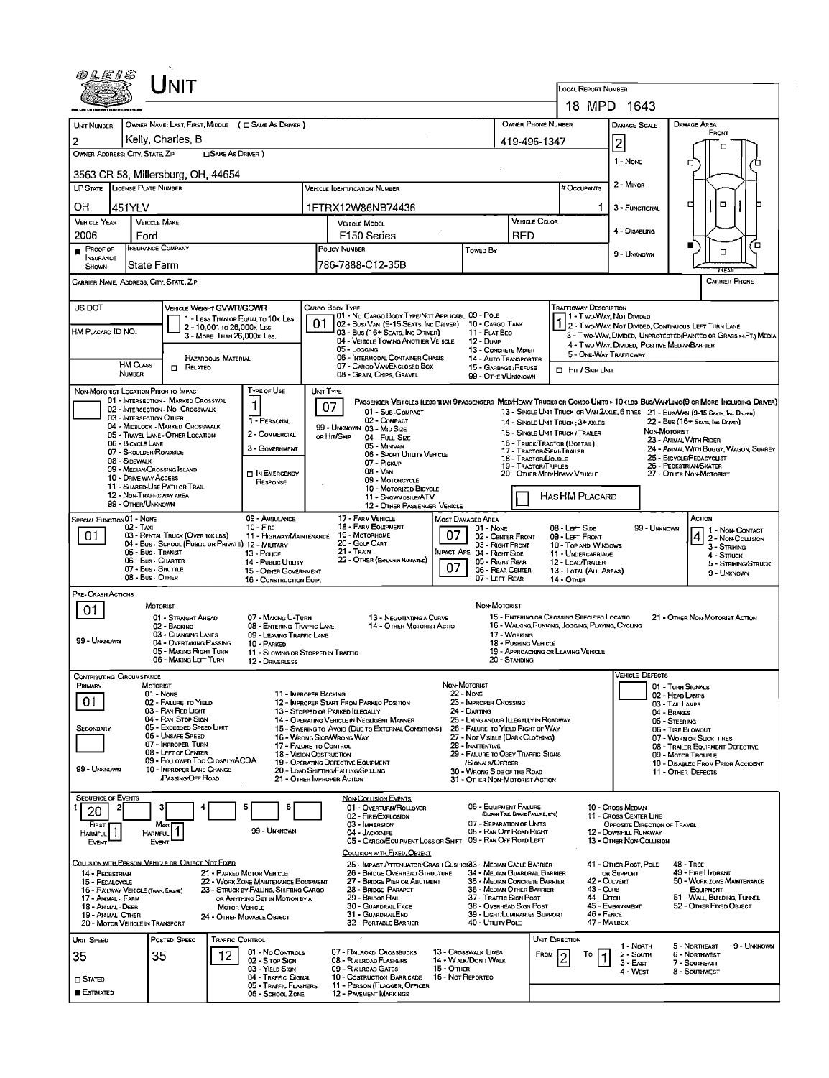| FH S                                                                                                                                                                            |                                                                                                                                        |                                                                                                                                                                                                                                                                   |                                                                               |                                                                                                                                                                            |                  |                                                                                                                                                                                                                                                                                                                          |            |                                                                                                                                                                                                                                                                                                                            |                                                                                 |                              |                                                                                                                                                       |                                                                                                                                 |                                                                                                                                                                                                                                                                                                                                                                                                                             |
|---------------------------------------------------------------------------------------------------------------------------------------------------------------------------------|----------------------------------------------------------------------------------------------------------------------------------------|-------------------------------------------------------------------------------------------------------------------------------------------------------------------------------------------------------------------------------------------------------------------|-------------------------------------------------------------------------------|----------------------------------------------------------------------------------------------------------------------------------------------------------------------------|------------------|--------------------------------------------------------------------------------------------------------------------------------------------------------------------------------------------------------------------------------------------------------------------------------------------------------------------------|------------|----------------------------------------------------------------------------------------------------------------------------------------------------------------------------------------------------------------------------------------------------------------------------------------------------------------------------|---------------------------------------------------------------------------------|------------------------------|-------------------------------------------------------------------------------------------------------------------------------------------------------|---------------------------------------------------------------------------------------------------------------------------------|-----------------------------------------------------------------------------------------------------------------------------------------------------------------------------------------------------------------------------------------------------------------------------------------------------------------------------------------------------------------------------------------------------------------------------|
|                                                                                                                                                                                 |                                                                                                                                        |                                                                                                                                                                                                                                                                   |                                                                               |                                                                                                                                                                            |                  |                                                                                                                                                                                                                                                                                                                          |            |                                                                                                                                                                                                                                                                                                                            |                                                                                 |                              | LOCAL REPORT NUMBER                                                                                                                                   |                                                                                                                                 |                                                                                                                                                                                                                                                                                                                                                                                                                             |
|                                                                                                                                                                                 |                                                                                                                                        |                                                                                                                                                                                                                                                                   |                                                                               |                                                                                                                                                                            |                  |                                                                                                                                                                                                                                                                                                                          |            |                                                                                                                                                                                                                                                                                                                            |                                                                                 |                              |                                                                                                                                                       | 18 MPD 1643                                                                                                                     |                                                                                                                                                                                                                                                                                                                                                                                                                             |
| UNIT NUMBER<br>2                                                                                                                                                                |                                                                                                                                        | Kelly, Charles, B                                                                                                                                                                                                                                                 |                                                                               | OWNER NAME: LAST, FIRST, MIDDLE ( C SAME AS DRIVER )                                                                                                                       |                  |                                                                                                                                                                                                                                                                                                                          |            |                                                                                                                                                                                                                                                                                                                            | OWNER PHONE NUMBER<br>419-496-1347                                              |                              |                                                                                                                                                       | DAMAGE SCALE                                                                                                                    | DAMAGE AREA<br>FRONT                                                                                                                                                                                                                                                                                                                                                                                                        |
| OWNER ADDRESS: CITY, STATE, ZIP                                                                                                                                                 |                                                                                                                                        |                                                                                                                                                                                                                                                                   | <b>CISAME AS DRIVER</b>                                                       |                                                                                                                                                                            |                  |                                                                                                                                                                                                                                                                                                                          |            |                                                                                                                                                                                                                                                                                                                            |                                                                                 |                              |                                                                                                                                                       | $\overline{\mathbf{c}}$<br>1 - None                                                                                             | □                                                                                                                                                                                                                                                                                                                                                                                                                           |
|                                                                                                                                                                                 |                                                                                                                                        | 3563 CR 58, Millersburg, OH, 44654                                                                                                                                                                                                                                |                                                                               |                                                                                                                                                                            |                  |                                                                                                                                                                                                                                                                                                                          |            |                                                                                                                                                                                                                                                                                                                            |                                                                                 |                              |                                                                                                                                                       |                                                                                                                                 | 0                                                                                                                                                                                                                                                                                                                                                                                                                           |
| LP STATE LICENSE PLATE NUMBER                                                                                                                                                   |                                                                                                                                        |                                                                                                                                                                                                                                                                   |                                                                               |                                                                                                                                                                            |                  | <b>VEHICLE IDENTIFICATION NUMBER</b>                                                                                                                                                                                                                                                                                     |            |                                                                                                                                                                                                                                                                                                                            |                                                                                 |                              | <b>H</b> OccupANTS                                                                                                                                    | 2 - Minor                                                                                                                       |                                                                                                                                                                                                                                                                                                                                                                                                                             |
| ΟH                                                                                                                                                                              | 451YLV                                                                                                                                 |                                                                                                                                                                                                                                                                   |                                                                               |                                                                                                                                                                            |                  | 1FTRX12W86NB74436                                                                                                                                                                                                                                                                                                        |            |                                                                                                                                                                                                                                                                                                                            |                                                                                 |                              |                                                                                                                                                       | 3 - FUNCTIONAL                                                                                                                  | $\Box$<br>□                                                                                                                                                                                                                                                                                                                                                                                                                 |
| <b>VEHICLE YEAR</b><br>2006                                                                                                                                                     | Ford                                                                                                                                   | <b>VEHICLE MAKE</b>                                                                                                                                                                                                                                               |                                                                               |                                                                                                                                                                            |                  | <b>VEHICLE MODEL</b><br>F <sub>150</sub> Series                                                                                                                                                                                                                                                                          |            |                                                                                                                                                                                                                                                                                                                            | <b>RED</b>                                                                      | <b>VEHICLE COLOR</b>         |                                                                                                                                                       | 4 - Disabling                                                                                                                   |                                                                                                                                                                                                                                                                                                                                                                                                                             |
| $P$ ROOF OF<br><b>INSURANCE</b>                                                                                                                                                 |                                                                                                                                        | <b>INSURANCE COMPANY</b>                                                                                                                                                                                                                                          |                                                                               |                                                                                                                                                                            |                  | POLICY NUMBER                                                                                                                                                                                                                                                                                                            |            | Towen By                                                                                                                                                                                                                                                                                                                   |                                                                                 |                              |                                                                                                                                                       | 9 - UNKNOWN                                                                                                                     | $\Box$                                                                                                                                                                                                                                                                                                                                                                                                                      |
| <b>State Farm</b><br>SHOWN<br>CARRIER NAME, ADDRESS, CITY, STATE, ZIP                                                                                                           |                                                                                                                                        |                                                                                                                                                                                                                                                                   |                                                                               |                                                                                                                                                                            | 786-7888-C12-35B |                                                                                                                                                                                                                                                                                                                          |            |                                                                                                                                                                                                                                                                                                                            |                                                                                 |                              |                                                                                                                                                       | FF.                                                                                                                             |                                                                                                                                                                                                                                                                                                                                                                                                                             |
|                                                                                                                                                                                 |                                                                                                                                        |                                                                                                                                                                                                                                                                   |                                                                               |                                                                                                                                                                            |                  |                                                                                                                                                                                                                                                                                                                          |            |                                                                                                                                                                                                                                                                                                                            |                                                                                 |                              |                                                                                                                                                       |                                                                                                                                 | <b>CARRIER PHONE</b>                                                                                                                                                                                                                                                                                                                                                                                                        |
| US DOT<br>HM PLACARD ID NO.                                                                                                                                                     | <b>HM CLASS</b>                                                                                                                        | <b>VEHICLE WEIGHT GVWR/GCWR</b><br>$\Box$ Related                                                                                                                                                                                                                 | 2 - 10.001 to 26.000x Las<br>3 - MORE THAN 26,000K LBS.<br>HAZARDOUS MATERIAL | 1 - LESS THAN OR EQUAL TO 10K LBS                                                                                                                                          | 01               | CARGO BOOY TYPE<br>01 - No Cargo Body Type/Not Applicabl 09 - Pole<br>02 - Bus/Van (9-15 Seats, Inc Driver) 10 - Cargo Tank<br>03 - Bus (16+ Seats, Inc Driver)<br>04 - VEHICLE TOWING ANOTHER VEHICLE<br>05 - Logging<br>06 - INTERMODAL CONTAINER CHASIS<br>07 - CARGO VAN/ENGLOSED BOX                                |            | 11 - FLAT BEO<br>12 - Dump<br>13 - CONCRETE MIXER<br>14 AUTO TRANSPORTER<br>15 - GARBAGE / REFUSE                                                                                                                                                                                                                          |                                                                                 |                              | <b>TRAFFICWAY DESCRIPTION</b><br>1 - Two-Way, Not Divideo<br>5 - ONE-WAY TRAFFICWAY<br>□ Hit / Skip UNT                                               | 4 - Two-Way, Divided, Positive Median Barrier                                                                                   | 2 - T WO-WAY, NOT DIMDED, CONTINUOUS LEFT TURN LANE<br>3 - Two-Way, Divided, Unprotected (PAINTEO OR GRASS >4FT.) MEDIA                                                                                                                                                                                                                                                                                                     |
| NON-MOTORIST LOCATION PRIOR TO IMPACT                                                                                                                                           | NUMBER                                                                                                                                 |                                                                                                                                                                                                                                                                   |                                                                               | <b>TYPE OF USE</b>                                                                                                                                                         | UNIT TYPE        | 08 - GRAIN, CHIPS, GRAVEL                                                                                                                                                                                                                                                                                                |            | 99 - OTHER/UNKNOWN                                                                                                                                                                                                                                                                                                         |                                                                                 |                              |                                                                                                                                                       |                                                                                                                                 |                                                                                                                                                                                                                                                                                                                                                                                                                             |
|                                                                                                                                                                                 | 03 - INTERSECTION OTHER<br>06 - BICYCLE LANE<br>07 - SHOULDER/ROADSIDE<br>08 - SIDEWALK<br>10 - DRIVE WAY ACCESS<br>99 - OTHER/UNKNOWN | 01 - INTERSECTION - MARKED CROSSWAL<br>02 - INTERSECTION - NO CROSSWALK<br>04 - MIDBLOCK - MARKED CROSSWALK<br>05 - TRAVEL LANE - OTHER LOCATION<br>09 - MEDIAN/CROSSING ISLAND<br>11 - SHARED-USE PATH OR TRAIL<br>12 - Non-Trafficway area                      |                                                                               | 1<br>1 - PERSONAL<br>2 - COMMERCIAL<br>3 - GOVERNMENT<br><b>DIN EMERGENCY</b><br>RESPONSE                                                                                  |                  | 07<br>01 - Sub-Compact<br>02 - COMPACT<br>99 - UNKNOWN 03 - MID SIZE<br>OR HIT/SKIP<br>04 - Full Size<br>05 - MINIVAN<br>06 - SPORT UTILITY VEHICLE<br>07 - PICKUP<br>08 - VAN<br>09 - MOTORCYCLE<br>10 - MOTORIZED BICYCLE<br>11 - SNOWMOBILE/ATV<br>12 - OTHER PASSENGER VEHICLE                                       |            |                                                                                                                                                                                                                                                                                                                            | 17 - TRACTOR/SEMI-TRAILER<br><b>18 - TRACTOR/DOUBLE</b><br>19 - TRACTOR/TRIPLES |                              | 14 - SINGLE UNIT TRUCK: 3+ AXLES<br>15 - SINGLE UNIT TRUCK / TRAILER<br>16 - TRUCK/TRACTOR (BOBTAIL)<br>20 - OTHER MED/HEAVY VEHICLE<br>HASHM PLACARD |                                                                                                                                 | PASSENGER VEHICLES (LESS THAN 9 PASSENGERS MEDIHEAVY TRUCKS OR COMBO UNITS > 10 KLBS BUS/VAWLIMO(9 OR MORE INCLUDING DRIVER)<br>13 - SINGLE UNIT TRUCK OR VAN 2AXLE, 6 TIRES 21 - BUS/VAN (9-15 SEATS, INC DRIVER)<br>22 - Bus (16+ Seats, Inc. Driver)<br>NON-MOTORIST<br>23 - ANIMAL WITH RIDER<br>24 - ANIMAL WITH BUGGY, WAGON, SURREY<br>25 - BICYCLE/PEDACYCLIST<br>26 - PEDESTRIAN/SKATER<br>27 - OTHER NON-MOTORIST |
| SPECIAL FUNCTION 01 - NONE                                                                                                                                                      | $02 - T_A x_1$                                                                                                                         |                                                                                                                                                                                                                                                                   |                                                                               | 09 - AMBULANCE<br>$10 -$ Fire                                                                                                                                              |                  | 17 - FARM VEHICLE<br>18 - FARM EOUPMENT                                                                                                                                                                                                                                                                                  |            | <b>MOST DAMAGED AREA</b><br>$01 - None$                                                                                                                                                                                                                                                                                    |                                                                                 |                              | 08 - LEFT SIDE                                                                                                                                        | 99 - UNKNOWN                                                                                                                    | ACTION                                                                                                                                                                                                                                                                                                                                                                                                                      |
| 01                                                                                                                                                                              | 05 - Bus - Transit<br>07 - Bus - SHUTTLE<br>08 - Bus - OTHER                                                                           | 03 - RENTAL TRUCK (OVER 10K LBS)<br>04 - Bus - SCHOOL (PUBLIC OR PRIVATE) 12 - MILITARY<br>06 - Bus - Charter                                                                                                                                                     |                                                                               | 11 - HIGHWAY/MAINTENANCE<br>13 - Pouce<br>14 - Pusuc Unuty<br>15 - OTHER GOVERNMENT<br>16 - CONSTRUCTION EOIP.                                                             |                  | 19 - Мотовноме<br>20 - GOLF CART<br>21 - Train<br>22 - OTHER (EXPLANDI NARATIVE)                                                                                                                                                                                                                                         | 07<br>07   | 02 - CENTER FRONT<br>03 - RIGHT FRONT<br><b>IMPACT ARE 04 - RIGHT SIDE</b><br>05 - Right Rear<br>06 - REAR CENTER<br>07 - LEFT REAR                                                                                                                                                                                        |                                                                                 |                              | 09 - LEFT FRONT<br>10 - TOP AND WINDOWS<br>11 - UNDERCARRIAGE<br>12 - LOAD/TRAILER<br>13 - TOTAL (ALL AREAS)<br><b>14 - OTHER</b>                     |                                                                                                                                 | 1 - Non Contact<br>2 - Non-Collision<br>3 - STRIKING<br>4 - STRUCK<br>5 - STRIKING/STRUCK<br>9 - UNKNOWN                                                                                                                                                                                                                                                                                                                    |
| PRE-CRASH ACTIONS                                                                                                                                                               |                                                                                                                                        |                                                                                                                                                                                                                                                                   |                                                                               |                                                                                                                                                                            |                  |                                                                                                                                                                                                                                                                                                                          |            | NON-MOTORIST                                                                                                                                                                                                                                                                                                               |                                                                                 |                              |                                                                                                                                                       |                                                                                                                                 |                                                                                                                                                                                                                                                                                                                                                                                                                             |
| 01<br>99 - Unknown                                                                                                                                                              |                                                                                                                                        | MOTORIST<br>01 - STRAIGHT AHEAD<br>02 - BACKING<br>03 - CHANGING LANES<br>04 - OVERTAKING/PASSING<br>05 - MAKING RIGHT TURN<br>06 - MAKING LEFT TURN                                                                                                              |                                                                               | 07 - MAKING U-TURN<br>08 - ENTERING TRAFFIC LANE<br>09 - LEAVING TRAFFIC LANE<br>10 - PARKED<br>11 - SLOWING OR STOPPED IN TRAFFIC<br>12 - DRIVERLESS                      |                  | 13 - NEGOTIATING A CURVE<br>14 - OTHER MOTORIST ACTIO                                                                                                                                                                                                                                                                    |            |                                                                                                                                                                                                                                                                                                                            | 17 - WORKING<br>18 - Pushing Vehicle<br>20 - Standing                           |                              | 15 - ENTERING OR CROSSING SPECIFIED LOCATIO<br>16 - WALKING, RUNNING, JOGGING, PLAYING, CYCLING<br>19 - APPROACHING OR LEAVING VEHICLE                |                                                                                                                                 | 21 - OTHER NON-MOTORIST ACTION                                                                                                                                                                                                                                                                                                                                                                                              |
| CONTRIBUTING CIRCUMSTANCE<br>PRIMARY                                                                                                                                            |                                                                                                                                        | MOTORIST                                                                                                                                                                                                                                                          |                                                                               |                                                                                                                                                                            |                  |                                                                                                                                                                                                                                                                                                                          |            | Non-Motorist                                                                                                                                                                                                                                                                                                               |                                                                                 |                              |                                                                                                                                                       | Vehicle Defects                                                                                                                 | 01 - TURN SIGNALS                                                                                                                                                                                                                                                                                                                                                                                                           |
| 01<br>SECONDARY<br>99 - Unknown                                                                                                                                                 |                                                                                                                                        | $01 - None$<br>02 - FALURE TO YIELD<br>03 - RAN RED LIGHT<br>04 - RAN STOP SIGN<br>05 - Exceeded Speed Limit<br>06 - UNSAFE SPEED<br>07 - IMPROPER TURN<br>08 - LEFT OF CENTER<br>09 - FOLLOWED TOO CLOSELY/ACDA<br>10 - IMPROPER LANE CHANGE<br>PASSING OFF ROAD |                                                                               | 11 - IMPROPER BACKING<br>17 - FALURE TO CONTROL<br><b>18 - VISION OBSTRUCTION</b>                                                                                          |                  | 12 - IMPROPER START FROM PARKEO POSITION<br>13 - Stopped or Parked ILLEGALLY<br>14 - OPERATING VEHICLE IN NEGLIGENT MANNER<br>15 - Swering to Avoid (DUE TO EXTERNAL CONDITIONS)<br>16 - WRONG SIOE/WRONG WAY<br>19 - OPERATING DEFECTIVE EQUIPMENT<br>20 - LOAD SHIFTING/FALLING/SPILLING<br>21 - OTHER IMPROPER ACTION |            | <b>22 - Nova</b><br>23 - IMPROPER CROSSING<br>24 - DARTING<br>25 - LYING ANDOR LLEGALLY IN ROADWAY<br>26 - FALURE TO YIELD RIGHT OF WAY<br>27 - NOT VISIBLE (DARK CLOTHING)<br>28 - INATTENTIVE<br>29 - FAILURE TO OBEY TRAFFIC SIGNS<br>/SIGNALS/OFFICER<br>30 - WRONG SIDE OF THE ROAD<br>31 - OTHER NON-MOTORIST ACTION |                                                                                 |                              |                                                                                                                                                       |                                                                                                                                 | 02 - HEAD LAMPS<br>03 - TAL LAMPS<br>04 - BRAKES<br>05 - STEERING<br>06 - TIRE BLOWOUT<br>07 - WORN OR SLICK TIRES<br>08 - TRAILER EQUIPMENT DEFECTIVE<br>09 - MOTOR TROUBLE<br>10 - DISABLEO FROM PRIOR ACCIDENT<br>11 - OTHER DEFECTS                                                                                                                                                                                     |
| <b>SEQUENCE OF EVENTS</b><br>20<br>FIRST<br><b>HARMFUL</b><br>Event                                                                                                             |                                                                                                                                        | Most<br><b>HARMFUL</b><br>EVENT                                                                                                                                                                                                                                   |                                                                               | 5<br>99 - UNKNOWN                                                                                                                                                          |                  | <b>NON-COLLISION EVENTS</b><br>01 - OVERTURN/ROLLOVER<br>02 - FIRE/EXPLOSION<br>03 - IMMERSION<br>04 - JACKKNIFE<br>05 - CARGO/EQUIPMENT LOSS OR SHIFT                                                                                                                                                                   |            | 06 - EQUIPMENT FAILURE<br>07 - SEPARATION OF UNITS<br>08 - RAN OFF ROAD RIGHT<br>09 - RAN OFF ROAD LEFT                                                                                                                                                                                                                    | (BLOWN TIRE, BRAKE FAILIRE, ETC)                                                |                              |                                                                                                                                                       | 10 - Cross Median<br>11 - Cross CENTER LINE<br>OPPOSITE DIRECTION OF TRAVEL<br>12 - DOWNELL RUNAWAY<br>13 - OTHER NON-COLLISION |                                                                                                                                                                                                                                                                                                                                                                                                                             |
| 14 - PEDESTRIAN<br>15 - PEDALCYCLE<br>16 - RAILWAY VEHICLE (TRAIN, ENGINE)<br>17 - Annial - Farm<br>18 - Animal - Deer<br>19 - AMMAL - OTHER<br>20 - MOTOR VEHICLE IN TRANSPORT |                                                                                                                                        | Collision with Person, Vehicle or Object Not Fixed                                                                                                                                                                                                                | <b>MOTOR VEHICLE</b>                                                          | 21 - PARKED MOTOR VEHICLE<br>22 - WORK ZONE MAINTENANCE EQUIPMENT<br>23 - STRUCK BY FALLING, SHIFTING CARGO<br>OR ANYTHING SET IN MOTION BY A<br>24 - OTHER MOVABLE OBJECT |                  | COLUSION WITH FIXED, OBJECT<br>25 - IMPACT ATTENUATOR/CRASH CUSHION33 - MEDIAN CABLE BARRIER<br>26 - BRIDGE OVERHEAD STRUCTURE<br>27 - BRIDGE PIER OR ABUTMENT<br>28 - BRIDGE PARAPET<br>29 - Bridge Rail<br>30 - GUARDRAIL FACE<br>31 - GUARDRAILEND<br>32 - PORTABLE BARRIER                                           |            | 34 - MEDIAN GUARDRAIL BARRIER<br>35 - MEOIAN CONCRETE BARRIER<br>36 - MEDIAN OTHER BARRIER<br>37 - TRAFFIC SIGN POST<br>38 - Overhead Sign Post<br>39 - LIGHT/LUMINARIES SUPPORT<br>40 - Unury Pous                                                                                                                        |                                                                                 |                              | 42 - Culvert<br>43 - Curs<br>44 - Отсн<br>46 - FENCE<br>47 - MAILBOX                                                                                  | 41 - OTHER POST, POLE<br>OR SUPPORT<br>45 - EMBANKMENT                                                                          | <b>48 - TREE</b><br>49 - FIRE HYDRANT<br>50 - WORK ZONE MAINTENANCE<br><b>EQUIPMENT</b><br>51 - WALL BULDING, TUNNEL<br>52 - OTHER FIXED OBJECT                                                                                                                                                                                                                                                                             |
| Unit Speed<br>35<br>$\square$ Stated<br><b>E</b> ESTIMATED                                                                                                                      |                                                                                                                                        | POSTED SPEED<br>35                                                                                                                                                                                                                                                | <b>TRAFFIC CONTROL</b><br>12                                                  | 01 - No Contras<br>02 - S TOP SIGN<br>03 - YIELD SIGN<br>04 - Traffic Signal<br>05 - TRAFFIC FLASHERS<br>06 - SCHOOL ZONE                                                  |                  | 07 - RALROAD CROSSBUCKS<br>08 - R ALROAD FLASHERS<br>09 - RALROAD GATES<br>10 - COSTRUCTION BARRICADE 16 - NOT REPORTED<br>11 - PERSON (FLAGGER, OFFICER<br><b>12 - PAVEMENT MARKINGS</b>                                                                                                                                | 15 - OTHER | 13 - Crosswalk Lines<br>14 - WALK/DON'T WALK                                                                                                                                                                                                                                                                               |                                                                                 | <b>UNT DIRECTION</b><br>From | To                                                                                                                                                    | 1 - North<br>2 - Soum<br>3 - East<br>4 - West                                                                                   | 5 - Northeast<br>9 - Unknown<br><b>6 - NORTHWEST</b><br>7 - Southeast<br>8 - Southwest                                                                                                                                                                                                                                                                                                                                      |

 $\sim 50$